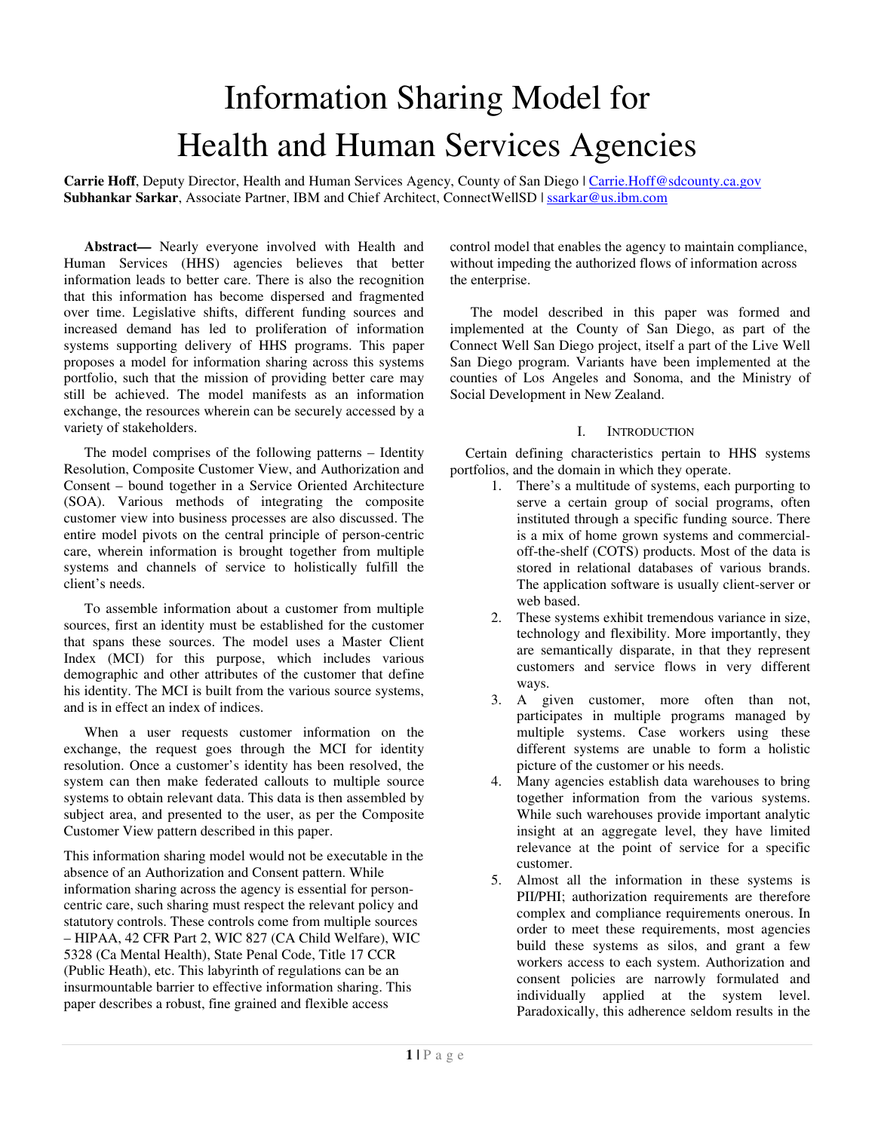# Information Sharing Model for Health and Human Services Agencies

Carrie Hoff, Deputy Director, Health and Human Services Agency, County of San Diego | Carrie.Hoff@sdcounty.ca.gov **Subhankar Sarkar**, Associate Partner, IBM and Chief Architect, ConnectWellSD | ssarkar@us.ibm.com

**Abstract***—* Nearly everyone involved with Health and Human Services (HHS) agencies believes that better information leads to better care. There is also the recognition that this information has become dispersed and fragmented over time. Legislative shifts, different funding sources and increased demand has led to proliferation of information systems supporting delivery of HHS programs. This paper proposes a model for information sharing across this systems portfolio, such that the mission of providing better care may still be achieved. The model manifests as an information exchange, the resources wherein can be securely accessed by a variety of stakeholders.

The model comprises of the following patterns – Identity Resolution, Composite Customer View, and Authorization and Consent – bound together in a Service Oriented Architecture (SOA). Various methods of integrating the composite customer view into business processes are also discussed. The entire model pivots on the central principle of person-centric care, wherein information is brought together from multiple systems and channels of service to holistically fulfill the client's needs.

To assemble information about a customer from multiple sources, first an identity must be established for the customer that spans these sources. The model uses a Master Client Index (MCI) for this purpose, which includes various demographic and other attributes of the customer that define his identity. The MCI is built from the various source systems, and is in effect an index of indices.

When a user requests customer information on the exchange, the request goes through the MCI for identity resolution. Once a customer's identity has been resolved, the system can then make federated callouts to multiple source systems to obtain relevant data. This data is then assembled by subject area, and presented to the user, as per the Composite Customer View pattern described in this paper.

This information sharing model would not be executable in the absence of an Authorization and Consent pattern. While information sharing across the agency is essential for personcentric care, such sharing must respect the relevant policy and statutory controls. These controls come from multiple sources – HIPAA, 42 CFR Part 2, WIC 827 (CA Child Welfare), WIC 5328 (Ca Mental Health), State Penal Code, Title 17 CCR (Public Heath), etc. This labyrinth of regulations can be an insurmountable barrier to effective information sharing. This paper describes a robust, fine grained and flexible access

control model that enables the agency to maintain compliance, without impeding the authorized flows of information across the enterprise.

The model described in this paper was formed and implemented at the County of San Diego, as part of the Connect Well San Diego project, itself a part of the Live Well San Diego program. Variants have been implemented at the counties of Los Angeles and Sonoma, and the Ministry of Social Development in New Zealand.

## I. INTRODUCTION

Certain defining characteristics pertain to HHS systems portfolios, and the domain in which they operate.

- 1. There's a multitude of systems, each purporting to serve a certain group of social programs, often instituted through a specific funding source. There is a mix of home grown systems and commercialoff-the-shelf (COTS) products. Most of the data is stored in relational databases of various brands. The application software is usually client-server or web based.
- 2. These systems exhibit tremendous variance in size, technology and flexibility. More importantly, they are semantically disparate, in that they represent customers and service flows in very different ways.
- 3. A given customer, more often than not, participates in multiple programs managed by multiple systems. Case workers using these different systems are unable to form a holistic picture of the customer or his needs.
- 4. Many agencies establish data warehouses to bring together information from the various systems. While such warehouses provide important analytic insight at an aggregate level, they have limited relevance at the point of service for a specific customer.
- 5. Almost all the information in these systems is PII/PHI; authorization requirements are therefore complex and compliance requirements onerous. In order to meet these requirements, most agencies build these systems as silos, and grant a few workers access to each system. Authorization and consent policies are narrowly formulated and individually applied at the system level. Paradoxically, this adherence seldom results in the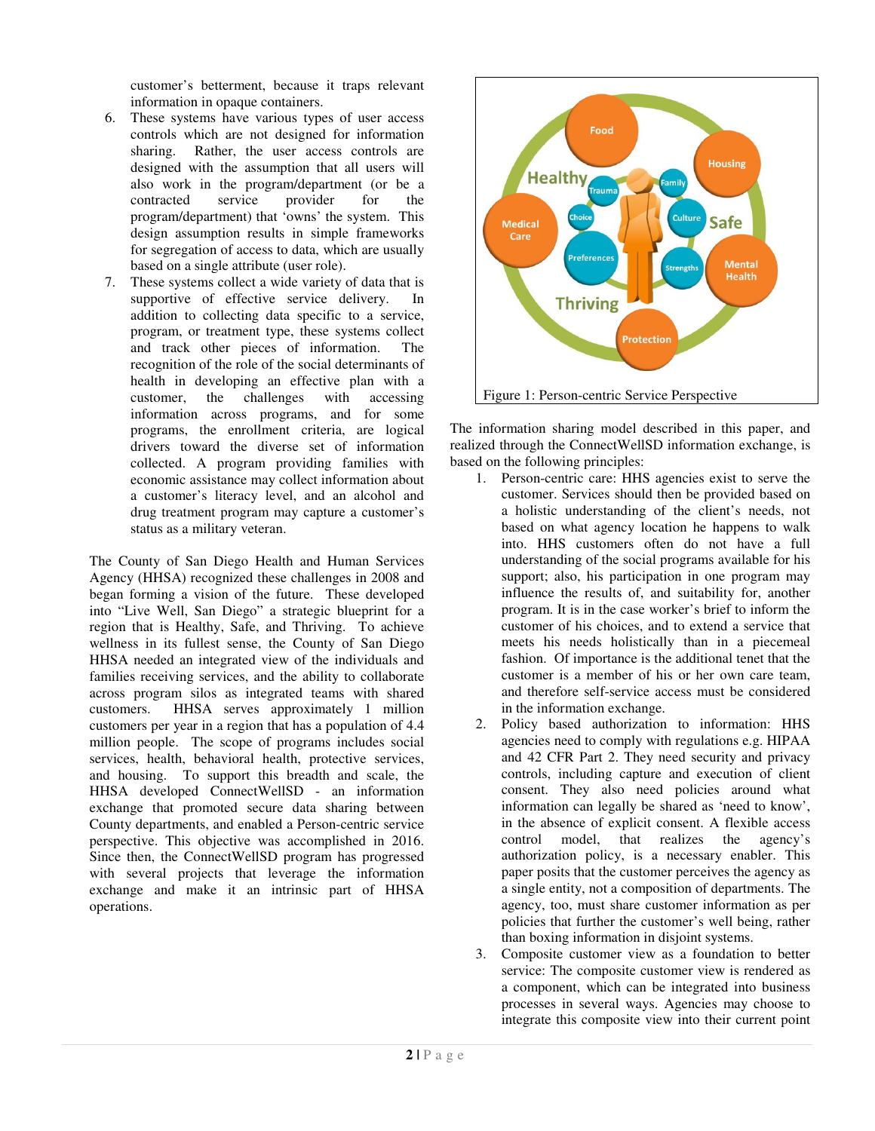customer's betterment, because it traps relevant information in opaque containers.

- 6. These systems have various types of user access controls which are not designed for information sharing. Rather, the user access controls are designed with the assumption that all users will also work in the program/department (or be a contracted service provider for the program/department) that 'owns' the system. This design assumption results in simple frameworks for segregation of access to data, which are usually based on a single attribute (user role).
- 7. These systems collect a wide variety of data that is supportive of effective service delivery. In addition to collecting data specific to a service, program, or treatment type, these systems collect and track other pieces of information. The recognition of the role of the social determinants of health in developing an effective plan with a customer, the challenges with accessing information across programs, and for some programs, the enrollment criteria, are logical drivers toward the diverse set of information collected. A program providing families with economic assistance may collect information about a customer's literacy level, and an alcohol and drug treatment program may capture a customer's status as a military veteran.

The County of San Diego Health and Human Services Agency (HHSA) recognized these challenges in 2008 and began forming a vision of the future. These developed into "Live Well, San Diego" a strategic blueprint for a region that is Healthy, Safe, and Thriving. To achieve wellness in its fullest sense, the County of San Diego HHSA needed an integrated view of the individuals and families receiving services, and the ability to collaborate across program silos as integrated teams with shared customers. HHSA serves approximately 1 million customers per year in a region that has a population of 4.4 million people. The scope of programs includes social services, health, behavioral health, protective services, and housing. To support this breadth and scale, the HHSA developed ConnectWellSD - an information exchange that promoted secure data sharing between County departments, and enabled a Person-centric service perspective. This objective was accomplished in 2016. Since then, the ConnectWellSD program has progressed with several projects that leverage the information exchange and make it an intrinsic part of HHSA operations.



The information sharing model described in this paper, and realized through the ConnectWellSD information exchange, is based on the following principles:

- 1. Person-centric care: HHS agencies exist to serve the customer. Services should then be provided based on a holistic understanding of the client's needs, not based on what agency location he happens to walk into. HHS customers often do not have a full understanding of the social programs available for his support; also, his participation in one program may influence the results of, and suitability for, another program. It is in the case worker's brief to inform the customer of his choices, and to extend a service that meets his needs holistically than in a piecemeal fashion. Of importance is the additional tenet that the customer is a member of his or her own care team, and therefore self-service access must be considered in the information exchange.
- 2. Policy based authorization to information: HHS agencies need to comply with regulations e.g. HIPAA and 42 CFR Part 2. They need security and privacy controls, including capture and execution of client consent. They also need policies around what information can legally be shared as 'need to know', in the absence of explicit consent. A flexible access control model, that realizes the agency's authorization policy, is a necessary enabler. This paper posits that the customer perceives the agency as a single entity, not a composition of departments. The agency, too, must share customer information as per policies that further the customer's well being, rather than boxing information in disjoint systems.
- 3. Composite customer view as a foundation to better service: The composite customer view is rendered as a component, which can be integrated into business processes in several ways. Agencies may choose to integrate this composite view into their current point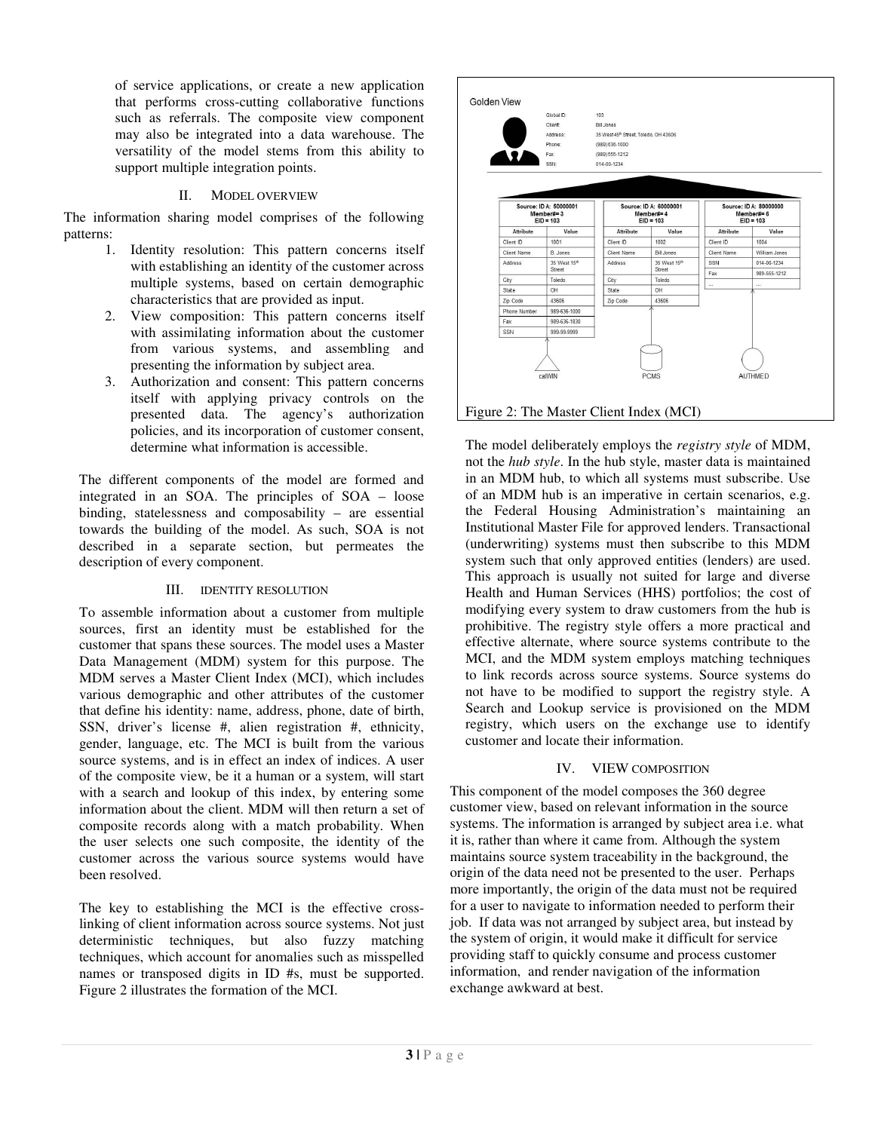of service applications, or create a new application that performs cross-cutting collaborative functions such as referrals. The composite view component may also be integrated into a data warehouse. The versatility of the model stems from this ability to support multiple integration points.

# II. MODEL OVERVIEW

The information sharing model comprises of the following patterns:

- 1. Identity resolution: This pattern concerns itself with establishing an identity of the customer across multiple systems, based on certain demographic characteristics that are provided as input.
- 2. View composition: This pattern concerns itself with assimilating information about the customer from various systems, and assembling and presenting the information by subject area.
- 3. Authorization and consent: This pattern concerns itself with applying privacy controls on the presented data. The agency's authorization policies, and its incorporation of customer consent, determine what information is accessible.

The different components of the model are formed and integrated in an SOA. The principles of SOA – loose binding, statelessness and composability – are essential towards the building of the model. As such, SOA is not described in a separate section, but permeates the description of every component.

## III. IDENTITY RESOLUTION

To assemble information about a customer from multiple sources, first an identity must be established for the customer that spans these sources. The model uses a Master Data Management (MDM) system for this purpose. The MDM serves a Master Client Index (MCI), which includes various demographic and other attributes of the customer that define his identity: name, address, phone, date of birth, SSN, driver's license #, alien registration #, ethnicity, gender, language, etc. The MCI is built from the various source systems, and is in effect an index of indices. A user of the composite view, be it a human or a system, will start with a search and lookup of this index, by entering some information about the client. MDM will then return a set of composite records along with a match probability. When the user selects one such composite, the identity of the customer across the various source systems would have been resolved.

The key to establishing the MCI is the effective crosslinking of client information across source systems. Not just deterministic techniques, but also fuzzy matching techniques, which account for anomalies such as misspelled names or transposed digits in ID #s, must be supported. Figure 2 illustrates the formation of the MCI.



The model deliberately employs the *registry style* of MDM, not the *hub style*. In the hub style, master data is maintained in an MDM hub, to which all systems must subscribe. Use of an MDM hub is an imperative in certain scenarios, e.g. the Federal Housing Administration's maintaining an Institutional Master File for approved lenders. Transactional (underwriting) systems must then subscribe to this MDM system such that only approved entities (lenders) are used. This approach is usually not suited for large and diverse Health and Human Services (HHS) portfolios; the cost of modifying every system to draw customers from the hub is prohibitive. The registry style offers a more practical and effective alternate, where source systems contribute to the MCI, and the MDM system employs matching techniques to link records across source systems. Source systems do not have to be modified to support the registry style. A Search and Lookup service is provisioned on the MDM registry, which users on the exchange use to identify customer and locate their information.

# IV. VIEW COMPOSITION

This component of the model composes the 360 degree customer view, based on relevant information in the source systems. The information is arranged by subject area i.e. what it is, rather than where it came from. Although the system maintains source system traceability in the background, the origin of the data need not be presented to the user. Perhaps more importantly, the origin of the data must not be required for a user to navigate to information needed to perform their job. If data was not arranged by subject area, but instead by the system of origin, it would make it difficult for service providing staff to quickly consume and process customer information, and render navigation of the information exchange awkward at best.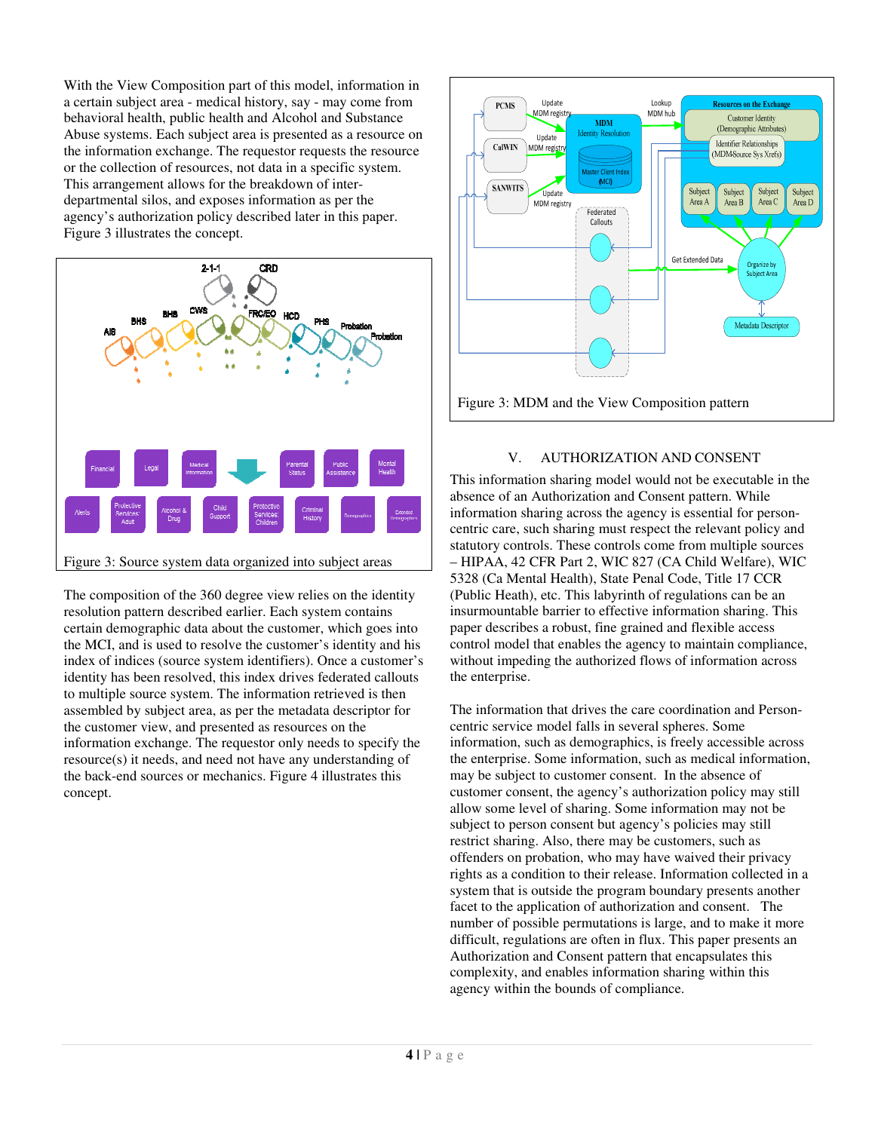With the View Composition part of this model, information in a certain subject area - medical history, say - may come from behavioral health, public health and Alcohol and Substance Abuse systems. Each subject area is presented as a resource on the information exchange. The requestor requests the resource or the collection of resources, not data in a specific system. This arrangement allows for the breakdown of interdepartmental silos, and exposes information as per the agency's authorization policy described later in this paper. Figure 3 illustrates the concept.



The composition of the 360 degree view relies on the identity resolution pattern described earlier. Each system contains certain demographic data about the customer, which goes into the MCI, and is used to resolve the customer's identity and his index of indices (source system identifiers). Once a customer's identity has been resolved, this index drives federated callouts to multiple source system. The information retrieved is then assembled by subject area, as per the metadata descriptor for the customer view, and presented as resources on the information exchange. The requestor only needs to specify the resource(s) it needs, and need not have any understanding of the back-end sources or mechanics. Figure 4 illustrates this concept.



## V. AUTHORIZATION AND CONSENT

This information sharing model would not be executable in the absence of an Authorization and Consent pattern. While information sharing across the agency is essential for personcentric care, such sharing must respect the relevant policy and statutory controls. These controls come from multiple sources – HIPAA, 42 CFR Part 2, WIC 827 (CA Child Welfare), WIC 5328 (Ca Mental Health), State Penal Code, Title 17 CCR (Public Heath), etc. This labyrinth of regulations can be an insurmountable barrier to effective information sharing. This paper describes a robust, fine grained and flexible access control model that enables the agency to maintain compliance, without impeding the authorized flows of information across the enterprise.

The information that drives the care coordination and Personcentric service model falls in several spheres. Some information, such as demographics, is freely accessible across the enterprise. Some information, such as medical information, may be subject to customer consent. In the absence of customer consent, the agency's authorization policy may still allow some level of sharing. Some information may not be subject to person consent but agency's policies may still restrict sharing. Also, there may be customers, such as offenders on probation, who may have waived their privacy rights as a condition to their release. Information collected in a system that is outside the program boundary presents another facet to the application of authorization and consent. The number of possible permutations is large, and to make it more difficult, regulations are often in flux. This paper presents an Authorization and Consent pattern that encapsulates this complexity, and enables information sharing within this agency within the bounds of compliance.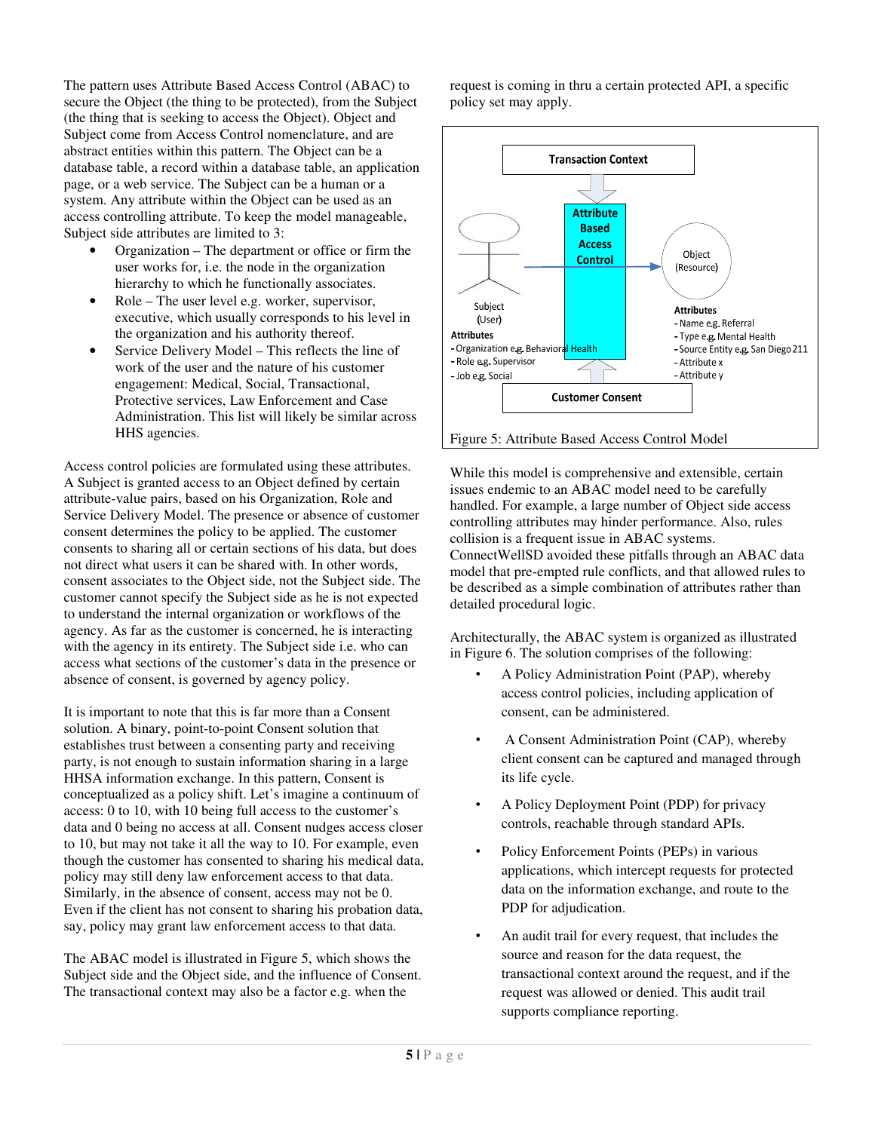The pattern uses Attribute Based Access Control (ABAC) to secure the Object (the thing to be protected), from the Subject (the thing that is seeking to access the Object). Object and Subject come from Access Control nomenclature, and are abstract entities within this pattern. The Object can be a database table, a record within a database table, an application page, or a web service. The Subject can be a human or a system. Any attribute within the Object can be used as an access controlling attribute. To keep the model manageable, Subject side attributes are limited to 3:

- Organization The department or office or firm the user works for, i.e. the node in the organization hierarchy to which he functionally associates.
- Role The user level e.g. worker, supervisor, executive, which usually corresponds to his level in the organization and his authority thereof.
- Service Delivery Model This reflects the line of work of the user and the nature of his customer engagement: Medical, Social, Transactional, Protective services, Law Enforcement and Case Administration. This list will likely be similar across HHS agencies.

Access control policies are formulated using these attributes. A Subject is granted access to an Object defined by certain attribute-value pairs, based on his Organization, Role and Service Delivery Model. The presence or absence of customer consent determines the policy to be applied. The customer consents to sharing all or certain sections of his data, but does not direct what users it can be shared with. In other words, consent associates to the Object side, not the Subject side. The customer cannot specify the Subject side as he is not expected to understand the internal organization or workflows of the agency. As far as the customer is concerned, he is interacting with the agency in its entirety. The Subject side i.e. who can access what sections of the customer's data in the presence or absence of consent, is governed by agency policy.

It is important to note that this is far more than a Consent solution. A binary, point-to-point Consent solution that establishes trust between a consenting party and receiving party, is not enough to sustain information sharing in a large HHSA information exchange. In this pattern, Consent is conceptualized as a policy shift. Let's imagine a continuum of access: 0 to 10, with 10 being full access to the customer's data and 0 being no access at all. Consent nudges access closer to 10, but may not take it all the way to 10. For example, even though the customer has consented to sharing his medical data, policy may still deny law enforcement access to that data. Similarly, in the absence of consent, access may not be 0. Even if the client has not consent to sharing his probation data, say, policy may grant law enforcement access to that data.

The ABAC model is illustrated in Figure 5, which shows the Subject side and the Object side, and the influence of Consent. The transactional context may also be a factor e.g. when the

request is coming in thru a certain protected API, a specific policy set may apply.



## Figure 5: Attribute Based Access Control Model

While this model is comprehensive and extensible, certain issues endemic to an ABAC model need to be carefully handled. For example, a large number of Object side access controlling attributes may hinder performance. Also, rules collision is a frequent issue in ABAC systems. ConnectWellSD avoided these pitfalls through an ABAC data model that pre-empted rule conflicts, and that allowed rules to be described as a simple combination of attributes rather than detailed procedural logic.

Architecturally, the ABAC system is organized as illustrated in Figure 6. The solution comprises of the following:

- A Policy Administration Point (PAP), whereby access control policies, including application of consent, can be administered.
- A Consent Administration Point (CAP), whereby client consent can be captured and managed through its life cycle.
- A Policy Deployment Point (PDP) for privacy controls, reachable through standard APIs.
- Policy Enforcement Points (PEPs) in various applications, which intercept requests for protected data on the information exchange, and route to the PDP for adjudication.
- An audit trail for every request, that includes the source and reason for the data request, the transactional context around the request, and if the request was allowed or denied. This audit trail supports compliance reporting.